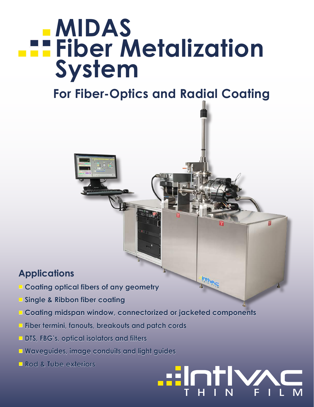# **MIDAS Fiber Metalization System**

## **For Fiber-Optics and Radial Coating**

#### **Applications**

- **■ Coating optical fibers of any geometry**
- **■ Single & Ribbon fiber coating**
- **■ Coating midspan window, connectorized or jacketed components**

THIN FILM

**Firm** 

- **■ Fiber termini, fanouts, breakouts and patch cords**
- **DTS, FBG's, optical isolators and filters**
- **Waveguides, image conduits and light guides**
- **■ Rod & Tube exteriors**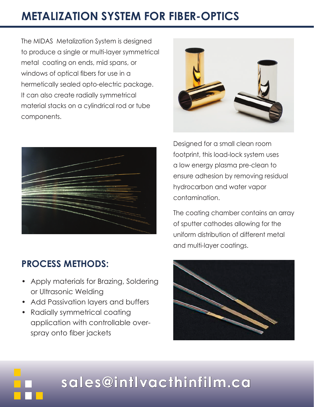### **METALIZATION SYSTEM FOR FIBER-OPTICS**

The MIDAS Metalization System is designed to produce a single or multi-layer symmetrical metal coating on ends, mid spans, or windows of optical fibers for use in a hermetically sealed opto-electric package. It can also create radially symmetrical material stacks on a cylindrical rod or tube components.



#### **PROCESS METHODS:**

- Apply materials for Brazing, Soldering or Ultrasonic Welding
- Add Passivation layers and buffers
- Radially symmetrical coating application with controllable overspray onto fiber jackets



Designed for a small clean room footprint, this load-lock system uses a low energy plasma pre-clean to ensure adhesion by removing residual hydrocarbon and water vapor contamination.

The coating chamber contains an array of sputter cathodes allowing for the uniform distribution of different metal and multi-layer coatings.



# **sales@intlvacthinfilm.ca**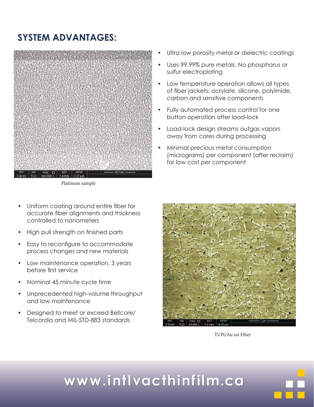#### **SYSTEM ADVANTAGES:**



Platinum sample

- Uniform coating around entire fiber for accurate fiber alignments and thickness controlled to nanometers
- High pull strength on finished parts
- Easy to reconfigure to accommodate process changes and new materials
- Low maintenance operation, 3 years before first service
- Nominal 45 minute cycle time
- Unprecedented high-volume throughput and low maintenance
- Designed to meet or exceed Bellcore/ Telcordia and MIL-STD-883 standards
- Ultra low porosity metal or dielectric coatings
- Uses 99.99% pure metals. No phosphorus or sulfur electroplating
- Low temperature operation allows all types of fiber jackets: acrylate, silicone, polyimide, carbon and sensitive components
- Fully automated process control for one button operation after load-lock
- Load-lock design streams outgas vapors away from cores during processing
- Minimal precious metal consumption (micrograms) per component (after reclaim) for low cost per component



Ti/Pt/Au on Fiber

# **www.intlvacthinfilm.ca**